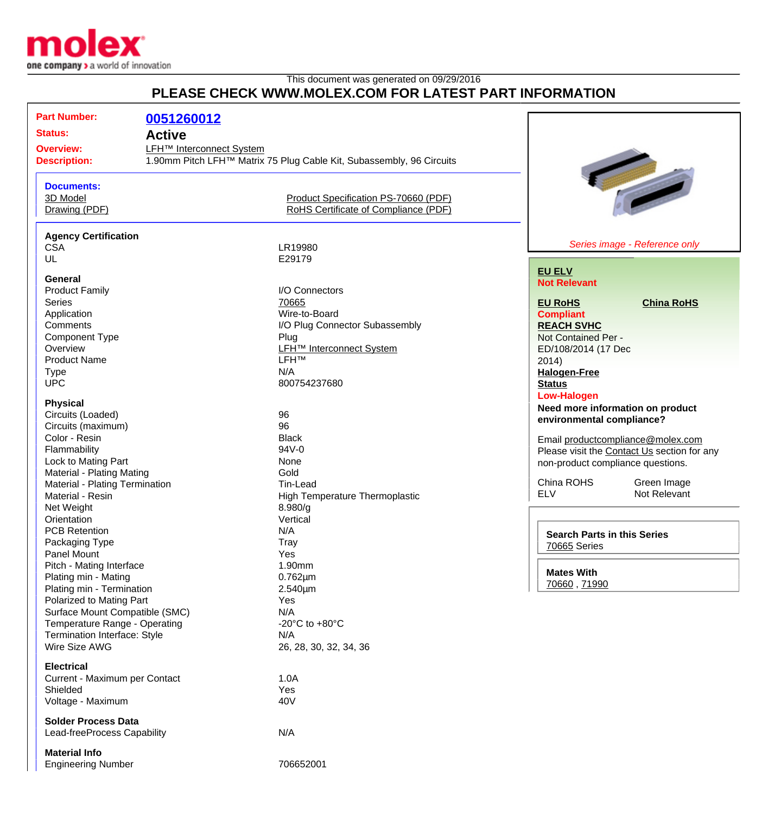

## This document was generated on 09/29/2016 **PLEASE CHECK WWW.MOLEX.COM FOR LATEST PART INFORMATION**

| <b>Part Number:</b><br>0051260012<br><b>Status:</b><br><b>Active</b><br><b>Overview:</b><br><b>Description:</b> | <b>LFH<sup>™</sup></b> Interconnect System<br>1.90mm Pitch LFH™ Matrix 75 Plug Cable Kit, Subassembly, 96 Circuits |                                      |                                             |
|-----------------------------------------------------------------------------------------------------------------|--------------------------------------------------------------------------------------------------------------------|--------------------------------------|---------------------------------------------|
| <b>Documents:</b><br>3D Model<br>Drawing (PDF)                                                                  | Product Specification PS-70660 (PDF)<br>RoHS Certificate of Compliance (PDF)                                       |                                      |                                             |
| <b>Agency Certification</b>                                                                                     |                                                                                                                    |                                      |                                             |
| <b>CSA</b>                                                                                                      | LR19980                                                                                                            |                                      | Series image - Reference only               |
| UL                                                                                                              | E29179                                                                                                             |                                      |                                             |
| <b>General</b>                                                                                                  |                                                                                                                    | <b>EU ELV</b>                        |                                             |
| <b>Product Family</b>                                                                                           | I/O Connectors                                                                                                     | <b>Not Relevant</b>                  |                                             |
| <b>Series</b>                                                                                                   | 70665                                                                                                              | <b>EU RoHS</b>                       | <b>China RoHS</b>                           |
| Application                                                                                                     | Wire-to-Board                                                                                                      | <b>Compliant</b>                     |                                             |
| Comments                                                                                                        | I/O Plug Connector Subassembly                                                                                     | <b>REACH SVHC</b>                    |                                             |
| <b>Component Type</b>                                                                                           | Plug                                                                                                               | Not Contained Per -                  |                                             |
| Overview                                                                                                        | <b>LFH<sup>™</sup></b> Interconnect System                                                                         |                                      |                                             |
| <b>Product Name</b>                                                                                             | <b>LFHTM</b>                                                                                                       | ED/108/2014 (17 Dec                  |                                             |
|                                                                                                                 |                                                                                                                    | 2014)                                |                                             |
| <b>Type</b><br><b>UPC</b>                                                                                       | N/A<br>800754237680                                                                                                | <b>Halogen-Free</b><br><b>Status</b> |                                             |
| <b>Physical</b>                                                                                                 |                                                                                                                    | <b>Low-Halogen</b>                   |                                             |
| Circuits (Loaded)                                                                                               | 96                                                                                                                 |                                      | Need more information on product            |
| Circuits (maximum)                                                                                              | 96                                                                                                                 | environmental compliance?            |                                             |
| Color - Resin                                                                                                   | <b>Black</b>                                                                                                       |                                      | Email productcompliance@molex.com           |
| Flammability                                                                                                    | 94V-0                                                                                                              |                                      | Please visit the Contact Us section for any |
| Lock to Mating Part                                                                                             | None                                                                                                               | non-product compliance questions.    |                                             |
| Material - Plating Mating                                                                                       | Gold                                                                                                               |                                      |                                             |
| Material - Plating Termination                                                                                  | Tin-Lead                                                                                                           | China ROHS                           | Green Image                                 |
| Material - Resin                                                                                                | High Temperature Thermoplastic                                                                                     | <b>ELV</b>                           | Not Relevant                                |
|                                                                                                                 |                                                                                                                    |                                      |                                             |
| Net Weight                                                                                                      | 8.980/g                                                                                                            |                                      |                                             |
| Orientation                                                                                                     | Vertical                                                                                                           |                                      |                                             |
| <b>PCB Retention</b>                                                                                            | N/A                                                                                                                | <b>Search Parts in this Series</b>   |                                             |
| Packaging Type                                                                                                  | <b>Tray</b>                                                                                                        | <b>70665 Series</b>                  |                                             |
| Panel Mount                                                                                                     | Yes                                                                                                                |                                      |                                             |
| Pitch - Mating Interface                                                                                        | 1.90mm                                                                                                             | <b>Mates With</b>                    |                                             |
| Plating min - Mating                                                                                            | $0.762 \mu m$                                                                                                      | 70660, 71990                         |                                             |
| Plating min - Termination                                                                                       | 2.540µm                                                                                                            |                                      |                                             |
| Polarized to Mating Part                                                                                        | Yes                                                                                                                |                                      |                                             |
| Surface Mount Compatible (SMC)                                                                                  | N/A                                                                                                                |                                      |                                             |
| Temperature Range - Operating                                                                                   | -20 $^{\circ}$ C to +80 $^{\circ}$ C                                                                               |                                      |                                             |
| <b>Termination Interface: Style</b>                                                                             | N/A                                                                                                                |                                      |                                             |
| Wire Size AWG                                                                                                   | 26, 28, 30, 32, 34, 36                                                                                             |                                      |                                             |
| <b>Electrical</b>                                                                                               |                                                                                                                    |                                      |                                             |
| Current - Maximum per Contact                                                                                   | 1.0A                                                                                                               |                                      |                                             |
| Shielded                                                                                                        | Yes                                                                                                                |                                      |                                             |
| Voltage - Maximum                                                                                               | 40 <sub>V</sub>                                                                                                    |                                      |                                             |
| <b>Solder Process Data</b><br>Lead-freeProcess Capability                                                       | N/A                                                                                                                |                                      |                                             |
| <b>Material Info</b>                                                                                            |                                                                                                                    |                                      |                                             |
| <b>Engineering Number</b>                                                                                       | 706652001                                                                                                          |                                      |                                             |
|                                                                                                                 |                                                                                                                    |                                      |                                             |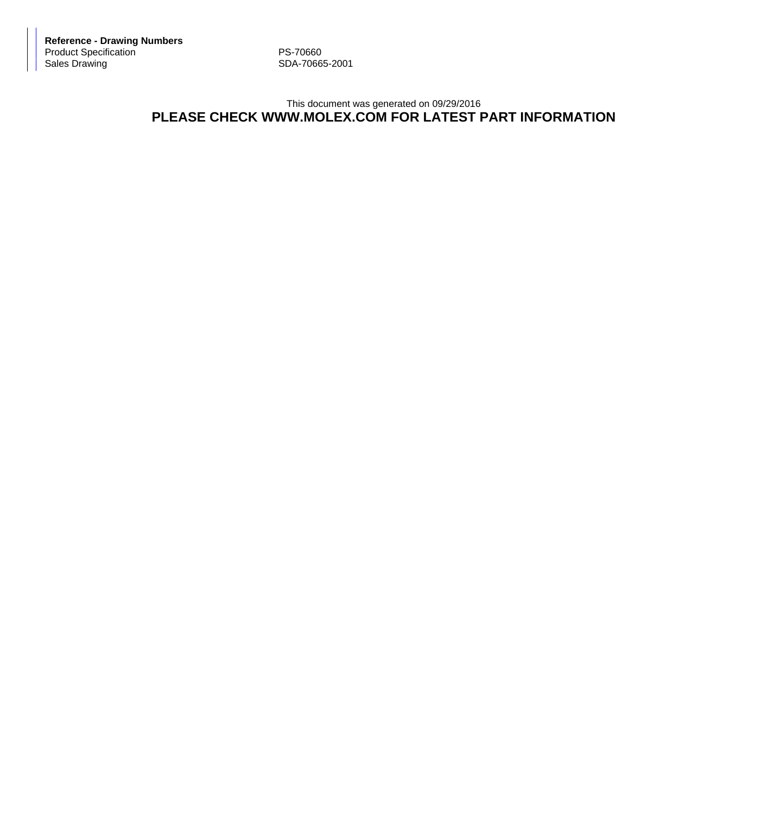**Reference - Drawing Numbers** Product Specification <br>
Sales Drawing 
PS-70660<br>
SDA-7066

SDA-70665-2001

## This document was generated on 09/29/2016 **PLEASE CHECK WWW.MOLEX.COM FOR LATEST PART INFORMATION**